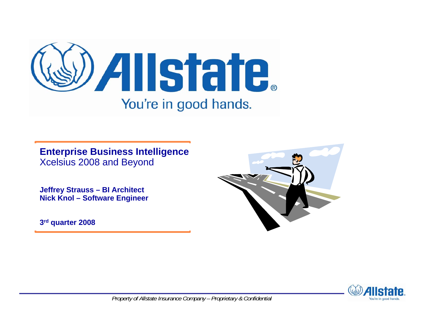

**Enterprise Business Intelligence**  Xcelsius 2008 and Beyond

**Jeffrey Strauss – BI Architect Nick Knol – Software Engineer** 

**3rd quarter 2008**



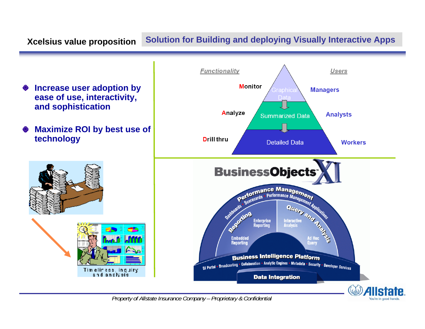# **Xcelsius value proposition Solution for Building and deploying Visually Interactive Apps**

- **Increase user adoption by**  ◇ **ease of use, interactivity, and sophistication**
- **Maximize ROI by best use of**  ◇ **technology**





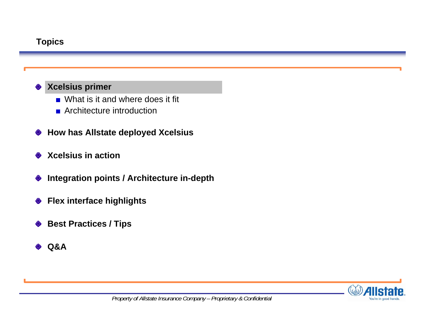# **Topics**

# **Xcelsius primer**

- What is it and where does it fit
- **Architecture introduction**
- **How has Allstate deployed Xcelsius** ◇
- **Xcelsius in action**◇
- **Integration points / Architecture in-depth** ♦
- **Flex interface highlights**  $\Diamond$
- **Best Practices / Tips** ◇
- **Q&A** $\Diamond$

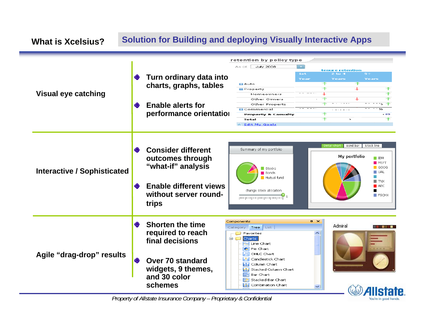#### **Solution for Building and deploying Visually Interactive Apps What is Xcelsius?**retention by policy type As of:  $\square$ **July 2008** tenure retention  $1 - 4$  $2$  to  $4$ **Turn ordinary data into**  ◇ Year  $\overline{\phantom{a}}$ **charts, graphs, tables** El Auto J Property **Visual eye catching** Φ Homeowners  $\uparrow$ J Other Owners **Enable alerts for** and the state  $\overline{\phantom{a}}$  $\rightarrow$ Other Property s. ◈ **El** Commercial . Listo is Ъś. **performance orientationProperty & Casualty**  $\leftrightarrow$ Total  $\sim$ **\* Edit My Goals Bond bar** Stock line **Consider different** Summary of my portfolio My portfolio **outcomes through**   $\blacksquare$  TBM  $M<sub>MT</sub>$ **"what-if" analysis**  $\Box$  GOOG Stocks **Interactive / Sophisticated**  $\Box$  UAL  $\blacksquare$  Bonds Mutual fund **College**  $\blacksquare$  TNX **Enable different views**  $ABC$ change stock allocation п **without server round-** $\blacksquare$  FSCHX proporpropropropropropria **trips** Components  $\mathbf{p} \times$  $\Leftrightarrow$ **Shorten the time** Admiral Category **Tree** List . . . **required to reach P** Favorites **Electric** Charts **final decisions**Line Chart **C** Pie Chart **Agile "drag-drop" results HI** OHLC Chart Candlestick Chart **Over 70 standard** ◇ Column Chart a Ta **widgets, 9 themes, 11.** Stacked Column Chart Ð Bar Chart **and 30 color** ∊ Stacked Bar Chart **schemesbi** Combination Chart

*Property of Allstate Insurance Company – Proprietary & Confidential* 

You're in good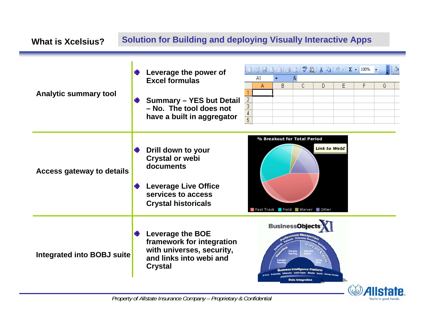| <b>Solution for Building and deploying Visually Interactive Apps</b><br><b>What is Xcelsius?</b> |                                                                                                                                                                                                                           |                                                                                                                                                     |                                |                                                                                     |  |          |    |    |   |                                               |                  |
|--------------------------------------------------------------------------------------------------|---------------------------------------------------------------------------------------------------------------------------------------------------------------------------------------------------------------------------|-----------------------------------------------------------------------------------------------------------------------------------------------------|--------------------------------|-------------------------------------------------------------------------------------|--|----------|----|----|---|-----------------------------------------------|------------------|
| <b>Analytic summary tool</b>                                                                     | ◇                                                                                                                                                                                                                         | ♦ Leverage the power of<br><b>Excel formulas</b><br><b>Summary - YES but Detail</b><br>- No. The tool does not<br>have a built in aggregator        | $\frac{2}{3}$<br>$\frac{4}{5}$ | A1<br>Α                                                                             |  | fx.<br>B | C. | D. | E | B F B A B Q I Y B I & B I 9 - 1 X - 100%<br>F | HB<br>G          |
| <b>Access gateway to details</b>                                                                 | ❤<br>$\Diamond$                                                                                                                                                                                                           | <b>Drill down to your</b><br><b>Crystal or webi</b><br>documents<br><b>Leverage Live Office</b><br>services to access<br><b>Crystal historicals</b> |                                | % Breakout for Total Period<br><b>Link to WebI</b><br>Fast Track Field Waiver Other |  |          |    |    |   |                                               |                  |
| <b>Integrated into BOBJ suite</b>                                                                | <b>BusinessObjects</b><br><b>Leverage the BOE</b><br>◇<br>framework for integration<br>with universes, security,<br>and links into webi and<br><b>Crystal</b><br>usiness Intelligence Platform<br><b>Data Integration</b> |                                                                                                                                                     |                                |                                                                                     |  |          |    |    |   |                                               |                  |
|                                                                                                  |                                                                                                                                                                                                                           |                                                                                                                                                     |                                |                                                                                     |  |          |    |    |   |                                               | <i>A</i> llstate |

rate.

You're in good hands.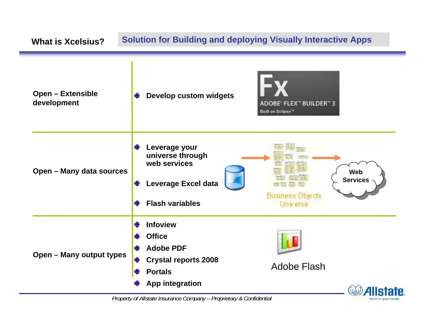| <b>Solution for Building and deploying Visually Interactive Apps</b><br><b>What is Xcelsius?</b> |                                                                                                                                                     |                                                               |  |  |  |  |
|--------------------------------------------------------------------------------------------------|-----------------------------------------------------------------------------------------------------------------------------------------------------|---------------------------------------------------------------|--|--|--|--|
| <b>Open - Extensible</b><br>development                                                          | <b>Develop custom widgets</b><br>◈                                                                                                                  | ADOBE® FLEX™ BUILDER™ 3<br><b>Built on Eclipse™</b>           |  |  |  |  |
| <b>Open - Many data sources</b>                                                                  | Leverage your<br>❤<br>universe through<br>web services<br><b>Leverage Excel data</b><br>◇<br><b>Flash variables</b><br>◇                            | <b>Web</b><br><b>Services</b><br>Business Objects<br>Universe |  |  |  |  |
| <b>Open - Many output types</b>                                                                  | <b>Infoview</b><br>♦<br><b>Office</b><br>◇<br><b>Adobe PDF</b><br>◈<br><b>Crystal reports 2008</b><br>◇<br><b>Portals</b><br><b>App integration</b> | <b>Adobe Flash</b><br>Allstate                                |  |  |  |  |

You're in good hands.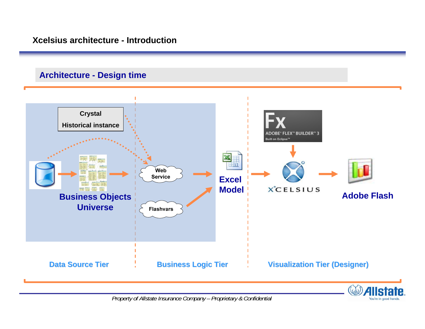## **Architecture - Design time**



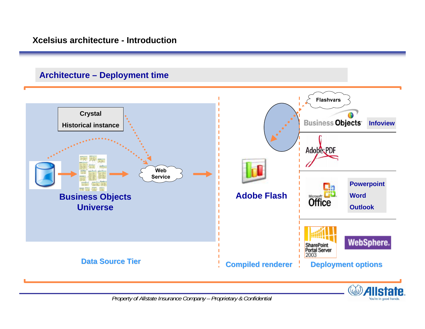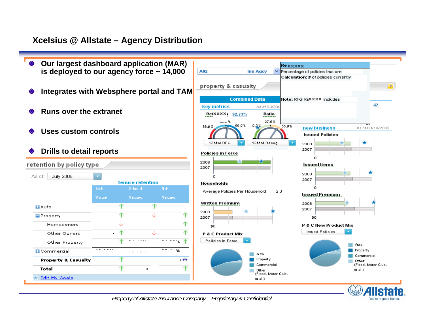## **Xcelsius @ Allstate – Agency Distribution**



*Property of Allstate Insurance Company – Proprietary & Confidential* 

You're in good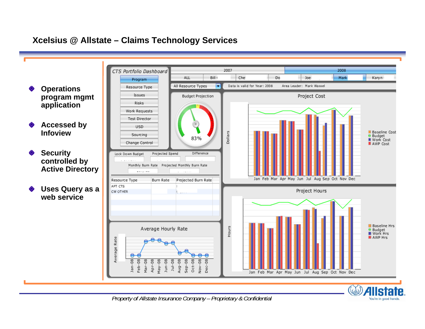## **Xcelsius @ Allstate – Claims Technology Services**

2007 2008 CTS Portfolio Dashboard ALL Bill 1 Che Do Mark Joe Karyn Program All Resource Types Data is valid for Year: 2008 Area Leader: Mark Wassel ⊢ **Operations**  Resource Type Issues Project Cost **program mgmt Budget Projection** Risks **application** Work Requests **Test Director Accessed by USD Infoview**■ Baseline Cost<br>● Budget<br>■ Work Cost Dollars Sourcing 83% Change Control II AWP Cost **Security**  Difference Lock Down Budget Projected Spend **controlled by**  Monthly Burn Rate Projected Monthly Burn Rate **Active Directory**  $-$ Jan Feb Mar Apr May Jun Jul Aug Sep Oct Nov Dec Resource Type **Burn Rate** Projected Burn Rate APT CTS **Uses Query as a**  Project Hours CW OTHER **web serviceIl** Baseline Hrs Hours Average Hourly Rate Budget<br>II Work Hrs **II** AWP Hrs Average Rate C  $Jan-08$  $Feb-08$ Mar-08<br>Apr-08<br>Apr-08<br>Aug-08<br>Aug-08<br>Sep-08  $Oct-08$ Nov-08  $Dec-08$ Jan Feb Mar Apr May Jun Jul Aug Sep Oct Nov Dec

*Property of Allstate Insurance Company – Proprietary & Confidential* 

You're in good hand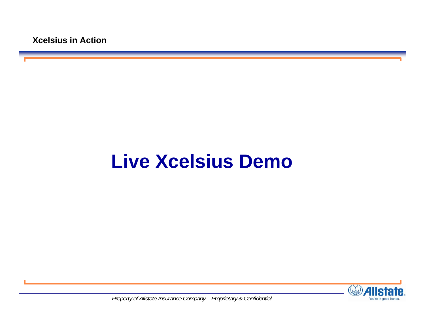# **Live Xcelsius Demo**

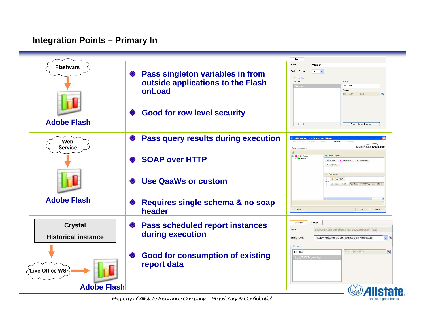## **Integration Points – Primary In**

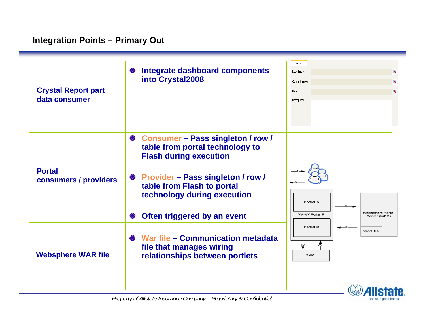| <b>Crystal Report part</b><br>data consumer | <b>Integrate dashboard components</b><br>into Crystal2008                                                                                                                                                                                  | Definition<br>Row Headers:<br>×<br>Column Headers:<br>$\mathbf{R}$<br>Data:<br>Description: |
|---------------------------------------------|--------------------------------------------------------------------------------------------------------------------------------------------------------------------------------------------------------------------------------------------|---------------------------------------------------------------------------------------------|
| <b>Portal</b><br>consumers / providers      | ♦ Consumer – Pass singleton / row /<br>table from portal technology to<br><b>Flash during execution</b><br>♦ Provider – Pass singleton / row /<br>table from Flash to portal<br>technology during execution<br>Often triggered by an event | Portlet A<br>Websphere Portal<br>WWW.Portal P<br>Server (WPS)                               |
| <b>Websphere WAR file</b>                   | War file - Communication metadata<br>file that manages wiring<br>relationships between portlets                                                                                                                                            | Portlet <b>B</b><br>WAR file<br><b>TAM</b><br><b>Alletato</b>                               |

You're in good hands.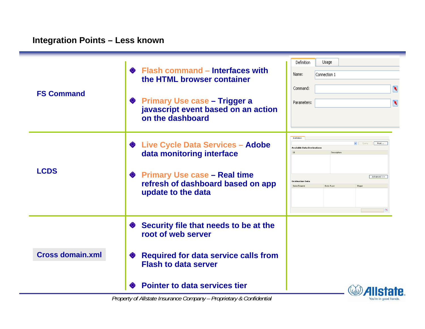| <b>FS Command</b>       | ♦ Flash command – Interfaces with<br>the HTML browser container<br><b>Primary Use case - Trigger a</b><br>❤<br>javascript event based on an action<br>on the dashboard                      | Definition<br>Usage<br>Name:<br>Connection 1<br>Command:<br>$\mathbf{N}$<br>Parameters:<br>$\blacksquare$                                                         |
|-------------------------|---------------------------------------------------------------------------------------------------------------------------------------------------------------------------------------------|-------------------------------------------------------------------------------------------------------------------------------------------------------------------|
| <b>LCDS</b>             | ♦ Live Cycle Data Services - Adobe<br>data monitoring interface<br>◆ Primary Use case – Real time<br>refresh of dashboard based on app<br>update to the data                                | Definition<br>v Query<br>Host<br><b>Available Data Destinations</b><br>Description<br>Advanced >><br><b>Destination Dat</b><br>Data Element<br>Data Type<br>Shape |
| <b>Cross domain.xml</b> | Security file that needs to be at the<br>❤<br>root of web server<br><b>Required for data service calls from</b><br>❤<br><b>Flash to data server</b><br><b>Pointer to data services tier</b> | Alletate                                                                                                                                                          |

You're in good hands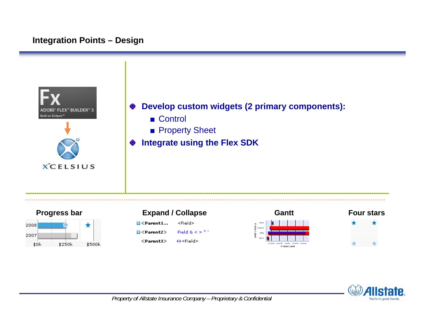## **Integration Points – Design**





| <b>Expand / Collapse</b>                                     |                 |
|--------------------------------------------------------------|-----------------|
| <b>H</b> <parent1< th=""><th><field></field></th></parent1<> | <field></field> |



 $<$ Parent $3>$ ↔<Field>



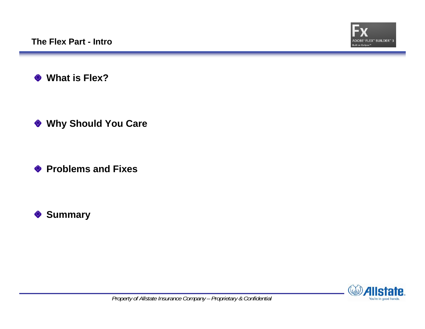

 $\Diamond$ **What is Flex?**

**Why Should You Care**

**◆ Problems and Fixes** 



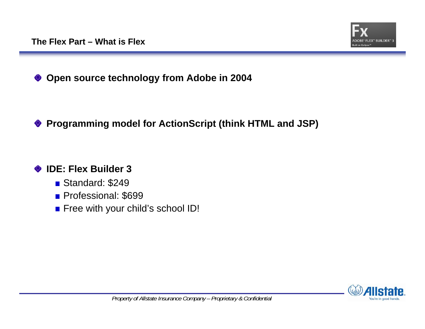

### **Open source technology from Adobe in 2004** ◇

### **Programming model for ActionScript (think HTML and JSP)** ❤

### **IDE: Flex Builder 3**◇

- Standard: \$249
- Professional: \$699
- **Filter Free with your child's school ID!**

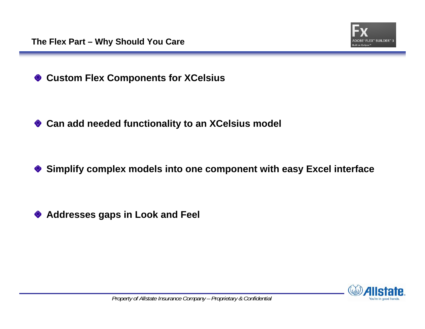

**Custom Flex Components for XCelsius** ♦

**Can add needed functionality to an XCelsius model**

**Simplify complex models into one component with easy Excel interface** ◇

**Addresses gaps in Look and Feel**◇

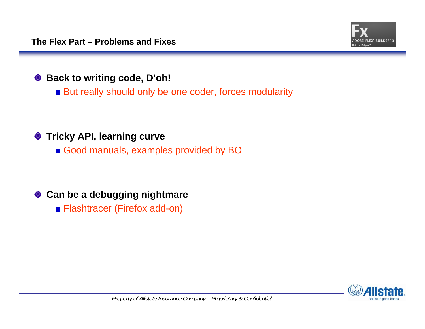

### **Back to writing code, D'oh!** ◇

But really should only be one coder, forces modularity

### **Tricky API, learning curve** ◇

Good manuals, examples provided by BO

### **Can be a debugging nightmare** ♦

**Flashtracer (Firefox add-on)** 

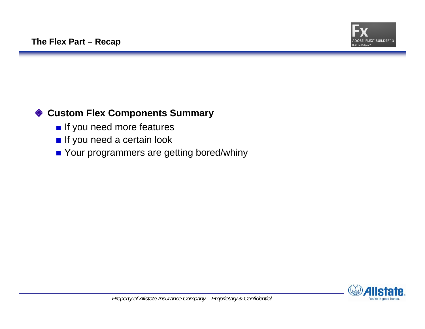

### **Custom Flex Components Summary** ◇

- If you need more features
- If you need a certain look
- Your programmers are getting bored/whiny

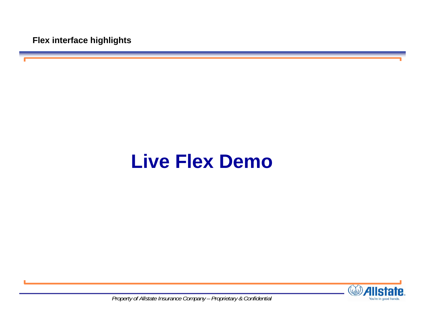**Flex interface highlights**

# **Live Flex Demo**

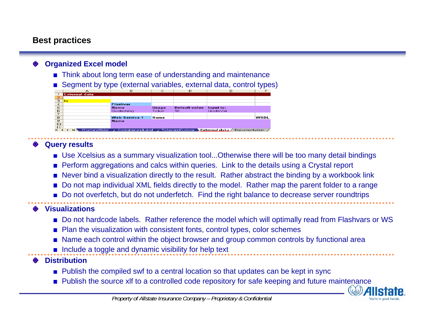## **Best practices**

### **Organized Excel model**

- Think about long term ease of understanding and maintenance
- Segment by type (external variables, external data, control types)

|                  | А                          | в                    | с             | D                    | Е                                                                                                                                            | F           |
|------------------|----------------------------|----------------------|---------------|----------------------|----------------------------------------------------------------------------------------------------------------------------------------------|-------------|
| $\sim$           | <b>External data</b>       |                      |               |                      |                                                                                                                                              |             |
| $\mathbf{2}$     |                            |                      |               |                      |                                                                                                                                              |             |
| ਭ                | In                         |                      |               |                      |                                                                                                                                              |             |
| $\boldsymbol{A}$ |                            | <b>Flashvar</b>      |               |                      |                                                                                                                                              |             |
| 5                |                            | <b>Name</b>          | <b>Usage</b>  | <b>Default value</b> | Input to:                                                                                                                                    |             |
| 6                |                            | Quotedelay           | <b>Ticker</b> | 10                   | QuoteVar                                                                                                                                     |             |
| 7                |                            |                      |               |                      |                                                                                                                                              |             |
| 8                |                            | <b>Web Service 1</b> | <b>Name</b>   |                      |                                                                                                                                              | <b>WSDL</b> |
| $\mathbf{9}$     |                            | <b>Name</b>          |               |                      |                                                                                                                                              |             |
| 10               |                            |                      |               |                      |                                                                                                                                              |             |
| 11               |                            |                      |               |                      |                                                                                                                                              |             |
|                  | <b>ELN</b><br>$\mathbf{r}$ |                      |               |                      | . ChartandSlider $\measuredangle$ ContainerandLabel $\measuredangle$ TickerandCustom $\searrow$ External data $\measuredangle$ Documentation |             |

## **Query results**

- Use Xcelsius as a summary visualization tool...Otherwise there will be too many detail bindings
- **Perform aggregations and calcs within queries. Link to the details using a Crystal report**
- Never bind a visualization directly to the result. Rather abstract the binding by a workbook link
- Do not map individual XML fields directly to the model. Rather map the parent folder to a range
- Do not overfetch, but do not underfetch. Find the right balance to decrease server roundtrips

### **Visualizations**

- Do not hardcode labels. Rather reference the model which will optimally read from Flashvars or WS
- Plan the visualization with consistent fonts, control types, color schemes
- Name each control within the object browser and group common controls by functional area
- $\blacksquare$  Include a toggle and dynamic visibility for help text

## **Distribution**

- Publish the compiled swf to a central location so that updates can be kept in sync
- **Publish the source xlf to a controlled code repository for safe keeping and future maintenance**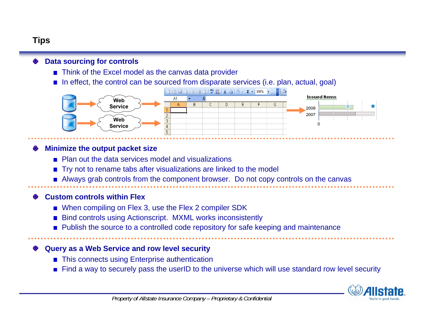## **Tips**

### **Data sourcing for controls**

- Think of the Excel model as the canvas data provider
- $\blacksquare$  In effect, the control can be sourced from disparate services (i.e. plan, actual, goal)



### **Minimize the output packet size**

- **Plan out the data services model and visualizations**
- Try not to rename tabs after visualizations are linked to the model
- **Always grab controls from the component browser. Do not copy controls on the canvas**

### **Custom controls within Flex**

- When compiling on Flex 3, use the Flex 2 compiler SDK
- Bind controls using Actionscript. MXML works inconsistently
- **Publish the source to a controlled code repository for safe keeping and maintenance**

### **Query as a Web Service and row level security**

- This connects using Enterprise authentication
- Find a way to securely pass the userID to the universe which will use standard row level security

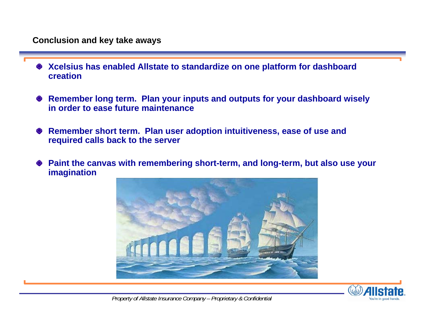- **Xcelsius has enabled Allstate to standardize on one platform for dashboard**  ◇ **creation**
- **Remember long term. Plan your inputs and outputs for your dashboard wisely**  ◇ **in order to ease future maintenance**
- **Remember short term. Plan user adoption intuitiveness, ease of use and**  ◇ **required calls back to the server**
- **Paint the canvas with remembering short-term, and long-term, but also use your**  ◇ **imagination**